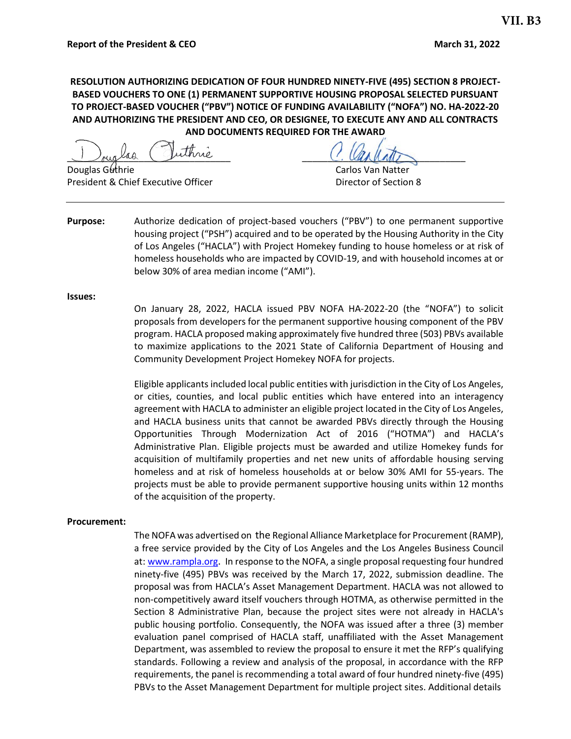### **RESOLUTION AUTHORIZING DEDICATION OF FOUR HUNDRED NINETY-FIVE (495) SECTION 8 PROJECT-BASED VOUCHERS TO ONE (1) PERMANENT SUPPORTIVE HOUSING PROPOSAL SELECTED PURSUANT TO PROJECT-BASED VOUCHER ("PBV") NOTICE OF FUNDING AVAILABILITY ("NOFA") NO. HA-2022-20 AND AUTHORIZING THE PRESIDENT AND CEO, OR DESIGNEE, TO EXECUTE ANY AND ALL CONTRACTS AND DOCUMENTS REQUIRED FOR THE AWARD**

I ouglas viime

**Douglas Guthrie Carlos Van Natter** Carlos Van Natter President & Chief Executive Officer **Director of Section 8** 

**Purpose:** Authorize dedication of project-based vouchers ("PBV") to one permanent supportive housing project ("PSH") acquired and to be operated by the Housing Authority in the City of Los Angeles ("HACLA") with Project Homekey funding to house homeless or at risk of homeless households who are impacted by COVID-19, and with household incomes at or below 30% of area median income ("AMI").

#### **Issues:**

On January 28, 2022, HACLA issued PBV NOFA HA-2022-20 (the "NOFA") to solicit proposals from developers for the permanent supportive housing component of the PBV program. HACLA proposed making approximately five hundred three (503) PBVs available to maximize applications to the 2021 State of California Department of Housing and Community Development Project Homekey NOFA for projects.

Eligible applicants included local public entities with jurisdiction in the City of Los Angeles, or cities, counties, and local public entities which have entered into an interagency agreement with HACLA to administer an eligible project located in the City of Los Angeles, and HACLA business units that cannot be awarded PBVs directly through the Housing Opportunities Through Modernization Act of 2016 ("HOTMA") and HACLA's Administrative Plan. Eligible projects must be awarded and utilize Homekey funds for acquisition of multifamily properties and net new units of affordable housing serving homeless and at risk of homeless households at or below 30% AMI for 55-years. The projects must be able to provide permanent supportive housing units within 12 months of the acquisition of the property.

#### **Procurement:**

The NOFA was advertised on the Regional Alliance Marketplace for Procurement (RAMP), a free service provided by the City of Los Angeles and the Los Angeles Business Council at: [www.rampla.org.](http://www.rampla.org/) In response to the NOFA, a single proposal requesting four hundred ninety-five (495) PBVs was received by the March 17, 2022, submission deadline. The proposal was from HACLA's Asset Management Department. HACLA was not allowed to non-competitively award itself vouchers through HOTMA, as otherwise permitted in the Section 8 Administrative Plan, because the project sites were not already in HACLA's public housing portfolio. Consequently, the NOFA was issued after a three (3) member evaluation panel comprised of HACLA staff, unaffiliated with the Asset Management Department, was assembled to review the proposal to ensure it met the RFP's qualifying standards. Following a review and analysis of the proposal, in accordance with the RFP requirements, the panel is recommending a total award of four hundred ninety-five (495) PBVs to the Asset Management Department for multiple project sites. Additional details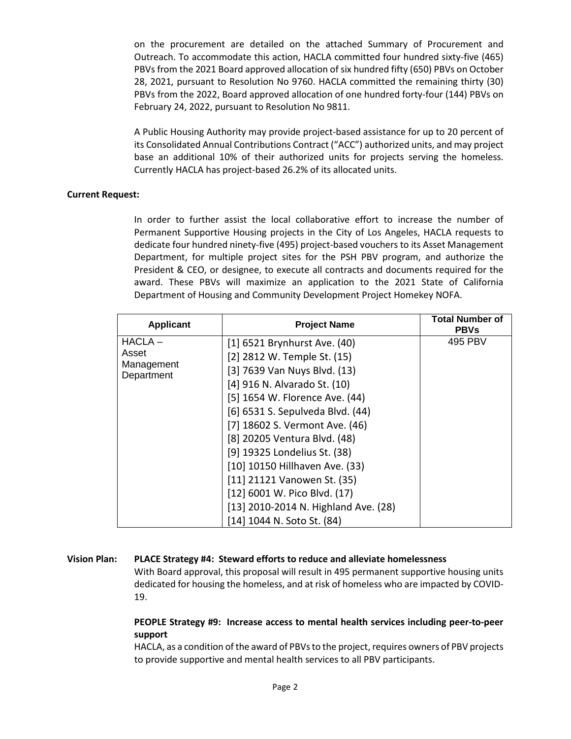on the procurement are detailed on the attached Summary of Procurement and Outreach. To accommodate this action, HACLA committed four hundred sixty-five (465) PBVs from the 2021 Board approved allocation of six hundred fifty (650) PBVs on October 28, 2021, pursuant to Resolution No 9760. HACLA committed the remaining thirty (30) PBVs from the 2022, Board approved allocation of one hundred forty-four (144) PBVs on February 24, 2022, pursuant to Resolution No 9811.

A Public Housing Authority may provide project-based assistance for up to 20 percent of its Consolidated Annual Contributions Contract ("ACC") authorized units, and may project base an additional 10% of their authorized units for projects serving the homeless. Currently HACLA has project-based 26.2% of its allocated units.

#### **Current Request:**

In order to further assist the local collaborative effort to increase the number of Permanent Supportive Housing projects in the City of Los Angeles, HACLA requests to dedicate four hundred ninety-five (495) project-based vouchers to its Asset Management Department, for multiple project sites for the PSH PBV program, and authorize the President & CEO, or designee, to execute all contracts and documents required for the award. These PBVs will maximize an application to the 2021 State of California Department of Housing and Community Development Project Homekey NOFA.

| <b>Applicant</b>                  | <b>Project Name</b>                  | <b>Total Number of</b><br><b>PBVs</b> |
|-----------------------------------|--------------------------------------|---------------------------------------|
| $HACLA -$                         | [1] 6521 Brynhurst Ave. (40)         | 495 PBV                               |
| Asset<br>Management<br>Department | [2] 2812 W. Temple St. (15)          |                                       |
|                                   | [3] 7639 Van Nuys Blvd. (13)         |                                       |
|                                   | [4] 916 N. Alvarado St. (10)         |                                       |
|                                   | [5] 1654 W. Florence Ave. (44)       |                                       |
|                                   | [6] 6531 S. Sepulveda Blvd. (44)     |                                       |
|                                   | [7] 18602 S. Vermont Ave. (46)       |                                       |
|                                   | [8] 20205 Ventura Blvd. (48)         |                                       |
|                                   | [9] 19325 Londelius St. (38)         |                                       |
|                                   | [10] 10150 Hillhaven Ave. (33)       |                                       |
|                                   | [11] 21121 Vanowen St. (35)          |                                       |
|                                   | [12] 6001 W. Pico Blvd. (17)         |                                       |
|                                   | [13] 2010-2014 N. Highland Ave. (28) |                                       |
|                                   | [14] 1044 N. Soto St. (84)           |                                       |

#### **Vision Plan: PLACE Strategy #4: Steward efforts to reduce and alleviate homelessness**

With Board approval, this proposal will result in 495 permanent supportive housing units dedicated for housing the homeless, and at risk of homeless who are impacted by COVID-19.

### **PEOPLE Strategy #9: Increase access to mental health services including peer-to-peer support**

HACLA, as a condition of the award of PBVs to the project, requires owners of PBV projects to provide supportive and mental health services to all PBV participants.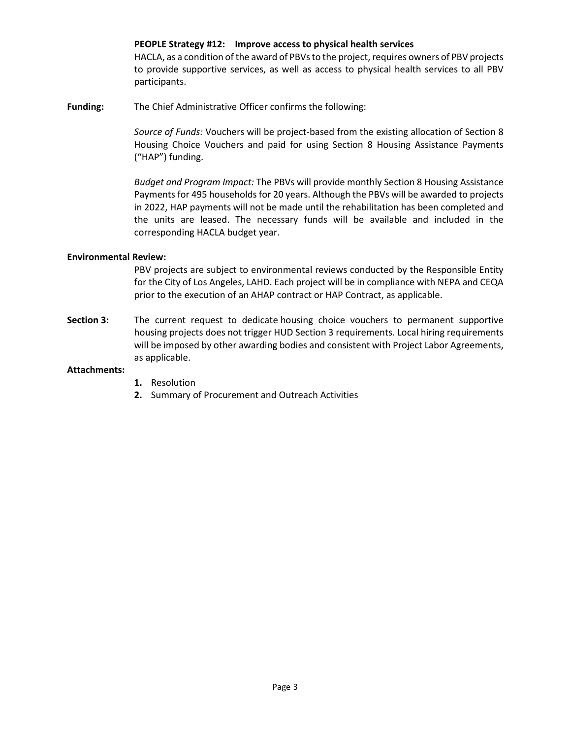#### **PEOPLE Strategy #12: Improve access to physical health services**

HACLA, as a condition of the award of PBVs to the project, requires owners of PBV projects to provide supportive services, as well as access to physical health services to all PBV participants.

**Funding:** The Chief Administrative Officer confirms the following:

*Source of Funds:* Vouchers will be project-based from the existing allocation of Section 8 Housing Choice Vouchers and paid for using Section 8 Housing Assistance Payments ("HAP") funding.

*Budget and Program Impact:* The PBVs will provide monthly Section 8 Housing Assistance Payments for 495 households for 20 years. Although the PBVs will be awarded to projects in 2022, HAP payments will not be made until the rehabilitation has been completed and the units are leased. The necessary funds will be available and included in the corresponding HACLA budget year.

#### **Environmental Review:**

PBV projects are subject to environmental reviews conducted by the Responsible Entity for the City of Los Angeles, LAHD. Each project will be in compliance with NEPA and CEQA prior to the execution of an AHAP contract or HAP Contract, as applicable.

**Section 3:** The current request to dedicate housing choice vouchers to permanent supportive housing projects does not trigger HUD Section 3 requirements. Local hiring requirements will be imposed by other awarding bodies and consistent with Project Labor Agreements, as applicable.

#### **Attachments:**

- **1.** Resolution
- **2.** Summary of Procurement and Outreach Activities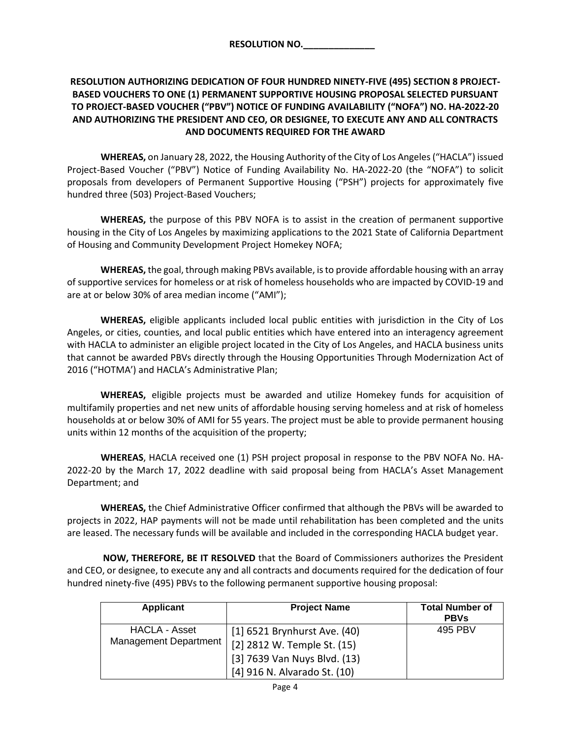### **RESOLUTION AUTHORIZING DEDICATION OF FOUR HUNDRED NINETY-FIVE (495) SECTION 8 PROJECT-BASED VOUCHERS TO ONE (1) PERMANENT SUPPORTIVE HOUSING PROPOSAL SELECTED PURSUANT TO PROJECT-BASED VOUCHER ("PBV") NOTICE OF FUNDING AVAILABILITY ("NOFA") NO. HA-2022-20 AND AUTHORIZING THE PRESIDENT AND CEO, OR DESIGNEE, TO EXECUTE ANY AND ALL CONTRACTS AND DOCUMENTS REQUIRED FOR THE AWARD**

**WHEREAS,** on January 28, 2022, the Housing Authority of the City of Los Angeles ("HACLA") issued Project-Based Voucher ("PBV") Notice of Funding Availability No. HA-2022-20 (the "NOFA") to solicit proposals from developers of Permanent Supportive Housing ("PSH") projects for approximately five hundred three (503) Project-Based Vouchers;

**WHEREAS,** the purpose of this PBV NOFA is to assist in the creation of permanent supportive housing in the City of Los Angeles by maximizing applications to the 2021 State of California Department of Housing and Community Development Project Homekey NOFA;

**WHEREAS,** the goal, through making PBVs available, is to provide affordable housing with an array of supportive services for homeless or at risk of homeless households who are impacted by COVID-19 and are at or below 30% of area median income ("AMI");

**WHEREAS,** eligible applicants included local public entities with jurisdiction in the City of Los Angeles, or cities, counties, and local public entities which have entered into an interagency agreement with HACLA to administer an eligible project located in the City of Los Angeles, and HACLA business units that cannot be awarded PBVs directly through the Housing Opportunities Through Modernization Act of 2016 ("HOTMA') and HACLA's Administrative Plan;

**WHEREAS,** eligible projects must be awarded and utilize Homekey funds for acquisition of multifamily properties and net new units of affordable housing serving homeless and at risk of homeless households at or below 30% of AMI for 55 years. The project must be able to provide permanent housing units within 12 months of the acquisition of the property;

**WHEREAS**, HACLA received one (1) PSH project proposal in response to the PBV NOFA No. HA-2022-20 by the March 17, 2022 deadline with said proposal being from HACLA's Asset Management Department; and

**WHEREAS,** the Chief Administrative Officer confirmed that although the PBVs will be awarded to projects in 2022, HAP payments will not be made until rehabilitation has been completed and the units are leased. The necessary funds will be available and included in the corresponding HACLA budget year.

**NOW, THEREFORE, BE IT RESOLVED** that the Board of Commissioners authorizes the President and CEO, or designee, to execute any and all contracts and documents required for the dedication of four hundred ninety-five (495) PBVs to the following permanent supportive housing proposal:

| <b>Applicant</b>                       | <b>Project Name</b>                                                                                                         | <b>Total Number of</b><br><b>PBVs</b> |
|----------------------------------------|-----------------------------------------------------------------------------------------------------------------------------|---------------------------------------|
| HACLA - Asset<br>Management Department | [1] 6521 Brynhurst Ave. (40)<br>[2] 2812 W. Temple St. (15)<br>[3] 7639 Van Nuys Blvd. (13)<br>[4] 916 N. Alvarado St. (10) | 495 PBV                               |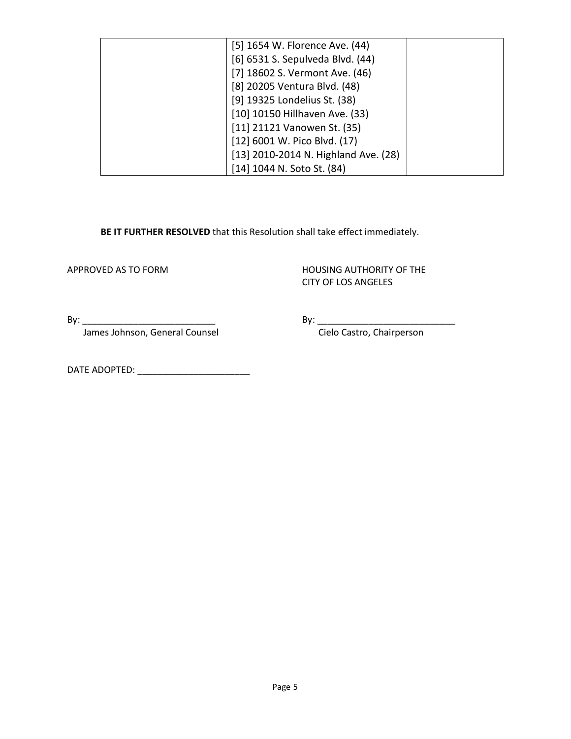| [5] 1654 W. Florence Ave. (44)       |  |
|--------------------------------------|--|
| [6] 6531 S. Sepulveda Blvd. (44)     |  |
| [7] 18602 S. Vermont Ave. (46)       |  |
| [8] 20205 Ventura Blvd. (48)         |  |
| [9] 19325 Londelius St. (38)         |  |
| [10] 10150 Hillhaven Ave. (33)       |  |
| [11] 21121 Vanowen St. (35)          |  |
| [12] 6001 W. Pico Blvd. (17)         |  |
| [13] 2010-2014 N. Highland Ave. (28) |  |
| [14] 1044 N. Soto St. (84)           |  |

**BE IT FURTHER RESOLVED** that this Resolution shall take effect immediately.

APPROVED AS TO FORM **HOUSING AUTHORITY OF THE** CITY OF LOS ANGELES

James Johnson, General Counsel Cielo Castro, Chairperson

By: \_\_\_\_\_\_\_\_\_\_\_\_\_\_\_\_\_\_\_\_\_\_\_\_\_\_ By: \_\_\_\_\_\_\_\_\_\_\_\_\_\_\_\_\_\_\_\_\_\_\_\_\_\_\_

DATE ADOPTED: \_\_\_\_\_\_\_\_\_\_\_\_\_\_\_\_\_\_\_\_\_\_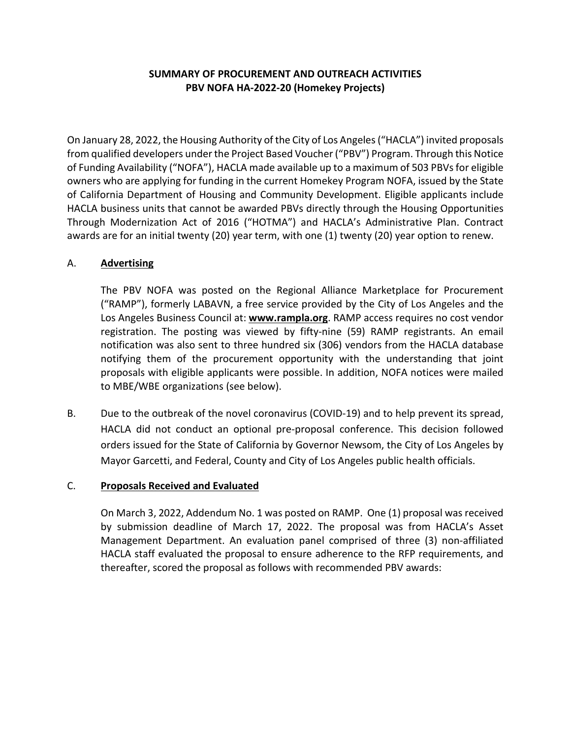# **SUMMARY OF PROCUREMENT AND OUTREACH ACTIVITIES PBV NOFA HA-2022-20 (Homekey Projects)**

On January 28, 2022, the Housing Authority of the City of Los Angeles ("HACLA") invited proposals from qualified developers under the Project Based Voucher ("PBV") Program. Through this Notice of Funding Availability ("NOFA"), HACLA made available up to a maximum of 503 PBVs for eligible owners who are applying for funding in the current Homekey Program NOFA, issued by the State of California Department of Housing and Community Development. Eligible applicants include HACLA business units that cannot be awarded PBVs directly through the Housing Opportunities Through Modernization Act of 2016 ("HOTMA") and HACLA's Administrative Plan. Contract awards are for an initial twenty (20) year term, with one (1) twenty (20) year option to renew.

## A. **Advertising**

The PBV NOFA was posted on the Regional Alliance Marketplace for Procurement ("RAMP"), formerly LABAVN, a free service provided by the City of Los Angeles and the Los Angeles Business Council at: **[www.rampla.org](http://www.rampla.org/)**. RAMP access requires no cost vendor registration. The posting was viewed by fifty-nine (59) RAMP registrants. An email notification was also sent to three hundred six (306) vendors from the HACLA database notifying them of the procurement opportunity with the understanding that joint proposals with eligible applicants were possible. In addition, NOFA notices were mailed to MBE/WBE organizations (see below).

B. Due to the outbreak of the novel coronavirus (COVID-19) and to help prevent its spread, HACLA did not conduct an optional pre-proposal conference. This decision followed orders issued for the State of California by Governor Newsom, the City of Los Angeles by Mayor Garcetti, and Federal, County and City of Los Angeles public health officials.

### C. **Proposals Received and Evaluated**

On March 3, 2022, Addendum No. 1 was posted on RAMP. One (1) proposal was received by submission deadline of March 17, 2022. The proposal was from HACLA's Asset Management Department. An evaluation panel comprised of three (3) non-affiliated HACLA staff evaluated the proposal to ensure adherence to the RFP requirements, and thereafter, scored the proposal as follows with recommended PBV awards: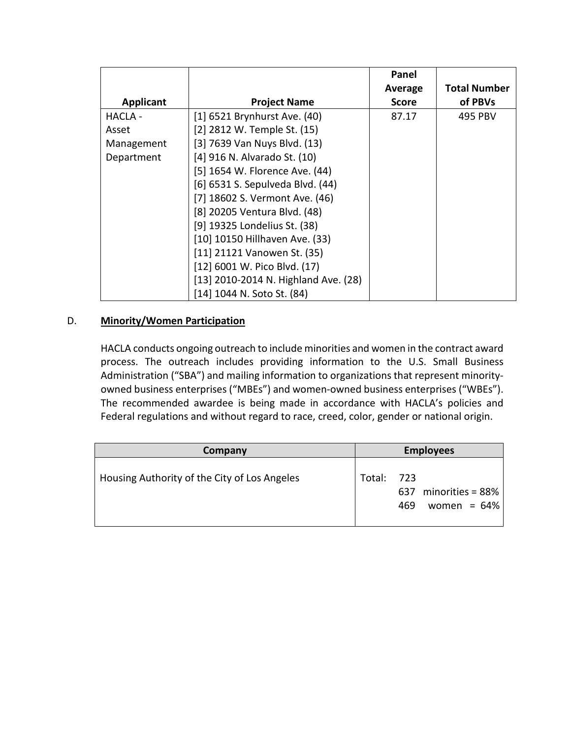|            |                                      | Panel        |                     |
|------------|--------------------------------------|--------------|---------------------|
|            |                                      | Average      | <b>Total Number</b> |
| Applicant  | <b>Project Name</b>                  | <b>Score</b> | of PBVs             |
| HACLA -    | [1] 6521 Brynhurst Ave. (40)         | 87.17        | 495 PBV             |
| Asset      | [2] 2812 W. Temple St. (15)          |              |                     |
| Management | [3] 7639 Van Nuys Blvd. (13)         |              |                     |
| Department | [4] 916 N. Alvarado St. (10)         |              |                     |
|            | [5] 1654 W. Florence Ave. (44)       |              |                     |
|            | [6] 6531 S. Sepulveda Blvd. (44)     |              |                     |
|            | [7] 18602 S. Vermont Ave. (46)       |              |                     |
|            | [8] 20205 Ventura Blvd. (48)         |              |                     |
|            | [9] 19325 Londelius St. (38)         |              |                     |
|            | [10] 10150 Hillhaven Ave. (33)       |              |                     |
|            | [11] 21121 Vanowen St. (35)          |              |                     |
|            | [12] 6001 W. Pico Blvd. (17)         |              |                     |
|            | [13] 2010-2014 N. Highland Ave. (28) |              |                     |
|            | [14] 1044 N. Soto St. (84)           |              |                     |

## D. **Minority/Women Participation**

HACLA conducts ongoing outreach to include minorities and women in the contract award process. The outreach includes providing information to the U.S. Small Business Administration ("SBA") and mailing information to organizations that represent minorityowned business enterprises ("MBEs") and women-owned business enterprises ("WBEs"). The recommended awardee is being made in accordance with HACLA's policies and Federal regulations and without regard to race, creed, color, gender or national origin.

| Company                                      |            | <b>Employees</b>                                 |  |  |
|----------------------------------------------|------------|--------------------------------------------------|--|--|
| Housing Authority of the City of Los Angeles | Total: 723 | 637 minorities = $88\%$<br>women = $64\%$<br>469 |  |  |